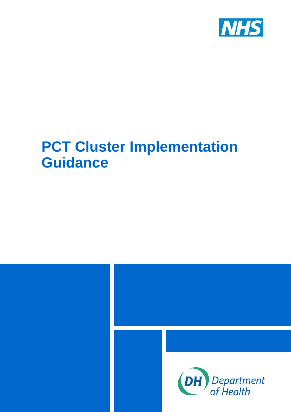

# **PCT Cluster Implementation Guidance**

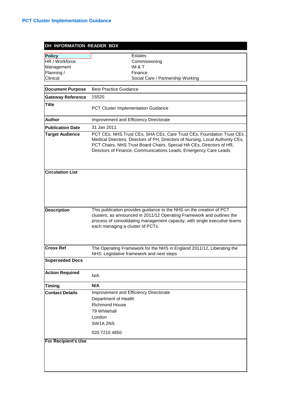| DH INFORMATION READER BOX                            |                                                                                                                                                                                                                                                                                                     |  |  |
|------------------------------------------------------|-----------------------------------------------------------------------------------------------------------------------------------------------------------------------------------------------------------------------------------------------------------------------------------------------------|--|--|
| Policy                                               | <b>Estates</b>                                                                                                                                                                                                                                                                                      |  |  |
| HR / Workforce                                       | Commissioning                                                                                                                                                                                                                                                                                       |  |  |
| Management                                           | IM & T                                                                                                                                                                                                                                                                                              |  |  |
| Planning /                                           | Finance                                                                                                                                                                                                                                                                                             |  |  |
| Clinical                                             | Social Care / Partnership Working                                                                                                                                                                                                                                                                   |  |  |
|                                                      |                                                                                                                                                                                                                                                                                                     |  |  |
| <b>Document Purpose</b>                              | <b>Best Practice Guidance</b>                                                                                                                                                                                                                                                                       |  |  |
| <b>Gateway Reference</b>                             | 15520                                                                                                                                                                                                                                                                                               |  |  |
| <b>Title</b>                                         | PCT Cluster Implementation Guidance                                                                                                                                                                                                                                                                 |  |  |
| <b>Author</b>                                        | Improvement and Efficiency Directorate                                                                                                                                                                                                                                                              |  |  |
| <b>Publication Date</b>                              | 31 Jan 2011                                                                                                                                                                                                                                                                                         |  |  |
| <b>Target Audience</b>                               | PCT CEs, NHS Trust CEs, SHA CEs, Care Trust CEs, Foundation Trust CEs<br>Medical Directors, Directors of PH, Directors of Nursing, Local Authority CEs,<br>PCT Chairs, NHS Trust Board Chairs, Special HA CEs, Directors of HR,<br>Directors of Finance, Communications Leads, Emergency Care Leads |  |  |
| <b>Circulation List</b>                              |                                                                                                                                                                                                                                                                                                     |  |  |
| <b>Description</b>                                   | This publication provides guidance to the NHS on the creation of PCT<br>clusters, as announced in 2011/12 Operating Framework and outlines the<br>process of consolidating management capacity, with single executive teams<br>each managing a cluster of PCTs.                                     |  |  |
| <b>Cross Ref</b>                                     | The Operating Framework for the NHS in England 2011/12, Liberating the<br>NHS: Legislative framework and next steps                                                                                                                                                                                 |  |  |
| <b>Superseded Docs</b>                               |                                                                                                                                                                                                                                                                                                     |  |  |
| <b>Action Required</b>                               | N/A                                                                                                                                                                                                                                                                                                 |  |  |
| Timing                                               | N/A                                                                                                                                                                                                                                                                                                 |  |  |
| <b>Contact Details</b><br><b>For Recipient's Use</b> | Improvement and Efficiency Directorate<br>Department of Health<br>Richmond House<br>79 Whitehall<br>London<br>SW <sub>1</sub> A 2NS<br>020 7210 4850                                                                                                                                                |  |  |
|                                                      |                                                                                                                                                                                                                                                                                                     |  |  |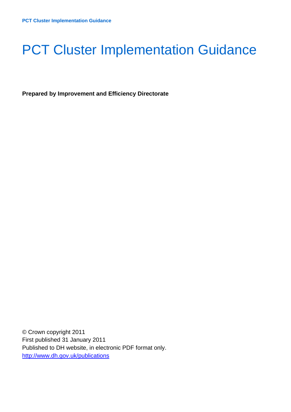# **PCT Cluster Implementation Guidance**

**Prepared by Improvement and Efficiency Directorate** 

© Crown copyright 2011 First published 31 January 2011 Published to DH website, in electronic PDF format only. <http://www.dh.gov.uk/publications>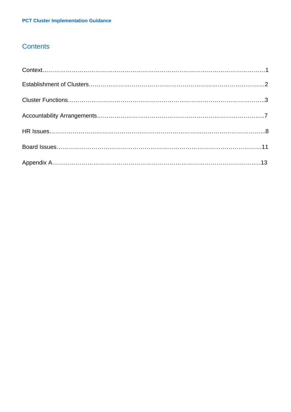# **Contents**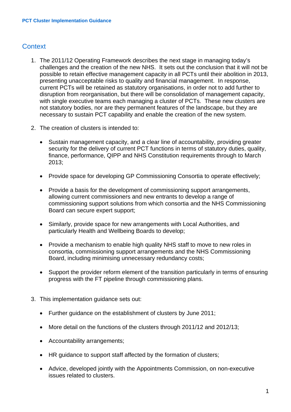# **Context**

- 1. The 2011/12 Operating Framework describes the next stage in managing today's challenges and the creation of the new NHS. It sets out the conclusion that it will not be possible to retain effective management capacity in all PCTs until their abolition in 2013, presenting unacceptable risks to quality and financial management. In response, current PCTs will be retained as statutory organisations, in order not to add further to disruption from reorganisation, but there will be consolidation of management capacity, with single executive teams each managing a cluster of PCTs. These new clusters are not statutory bodies, nor are they permanent features of the landscape, but they are necessary to sustain PCT capability and enable the creation of the new system.
- 2. The creation of clusters is intended to:
	- Sustain management capacity, and a clear line of accountability, providing greater security for the delivery of current PCT functions in terms of statutory duties, quality, finance, performance, QIPP and NHS Constitution requirements through to March 2013;
	- Provide space for developing GP Commissioning Consortia to operate effectively;
	- Provide a basis for the development of commissioning support arrangements, allowing current commissioners and new entrants to develop a range of commissioning support solutions from which consortia and the NHS Commissioning Board can secure expert support;
	- Similarly, provide space for new arrangements with Local Authorities, and particularly Health and Wellbeing Boards to develop;
	- Provide a mechanism to enable high quality NHS staff to move to new roles in consortia, commissioning support arrangements and the NHS Commissioning Board, including minimising unnecessary redundancy costs;
	- Support the provider reform element of the transition particularly in terms of ensuring progress with the FT pipeline through commissioning plans.
- 3. This implementation guidance sets out:
	- Further guidance on the establishment of clusters by June 2011;
	- More detail on the functions of the clusters through 2011/12 and 2012/13;
	- Accountability arrangements;
	- HR guidance to support staff affected by the formation of clusters;
	- Advice, developed jointly with the Appointments Commission, on non-executive issues related to clusters.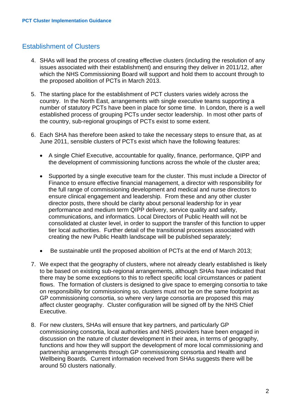## Establishment of Clusters

- 4. SHAs will lead the process of creating effective clusters (including the resolution of any issues associated with their establishment) and ensuring they deliver in 2011/12, after which the NHS Commissioning Board will support and hold them to account through to the proposed abolition of PCTs in March 2013.
- 5. The starting place for the establishment of PCT clusters varies widely across the country. In the North East, arrangements with single executive teams supporting a number of statutory PCTs have been in place for some time. In London, there is a well established process of grouping PCTs under sector leadership. In most other parts of the country, sub-regional groupings of PCTs exist to some extent.
- 6. Each SHA has therefore been asked to take the necessary steps to ensure that, as at June 2011, sensible clusters of PCTs exist which have the following features:
	- A single Chief Executive, accountable for quality, finance, performance, QIPP and the development of commissioning functions across the whole of the cluster area;
	- Supported by a single executive team for the cluster. This must include a Director of Finance to ensure effective financial management, a director with responsibility for the full range of commissioning development and medical and nurse directors to ensure clinical engagement and leadership. From these and any other cluster director posts, there should be clarity about personal leadership for in year performance and medium term QIPP delivery, service quality and safety, communications, and informatics. Local Directors of Public Health will not be consolidated at cluster level, in order to support the transfer of this function to upper tier local authorities. Further detail of the transitional processes associated with creating the new Public Health landscape will be published separately;
	- Be sustainable until the proposed abolition of PCTs at the end of March 2013;
- 7. We expect that the geography of clusters, where not already clearly established is likely to be based on existing sub-regional arrangements, although SHAs have indicated that there may be some exceptions to this to reflect specific local circumstances or patient flows. The formation of clusters is designed to give space to emerging consortia to take on responsibility for commissioning so, clusters must not be on the same footprint as GP commissioning consortia, so where very large consortia are proposed this may affect cluster geography. Cluster configuration will be signed off by the NHS Chief Executive.
- 8. For new clusters, SHAs will ensure that key partners, and particularly GP commissioning consortia, local authorities and NHS providers have been engaged in discussion on the nature of cluster development in their area, in terms of geography, functions and how they will support the development of more local commissioning and partnership arrangements through GP commissioning consortia and Health and Wellbeing Boards. Current information received from SHAs suggests there will be around 50 clusters nationally.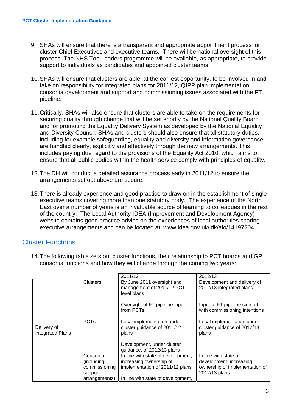- 9. SHAs will ensure that there is a transparent and appropriate appointment process for cluster Chief Executives and executive teams. There will be national oversight of this process. The NHS Top Leaders programme will be available, as appropriate, to provide support to individuals as candidates and appointed cluster teams.
- 10. SHAs will ensure that clusters are able, at the earliest opportunity, to be involved in and take on responsibility for integrated plans for 2011/12, QIPP plan implementation, consortia development and support and commissioning issues associated with the FT pipeline.
- 11. Critically, SHAs will also ensure that clusters are able to take on the requirements for securing quality through change that will be set shortly by the National Quality Board and for promoting the Equality Delivery System as developed by the National Equality and Diversity Council. SHAs and clusters should also ensure that all statutory duties, including for example safeguarding, equality and diversity and information governance, are handled clearly, explicitly and effectively through the new arrangements. This includes paying due regard to the provisions of the Equality Act 2010, which aims to ensure that all public bodies within the health service comply with principles of equality.
- 12. The DH will conduct a detailed assurance process early in 2011/12 to ensure the arrangements set out above are secure.
- 13. There is already experience and good practice to draw on in the establishment of single executive teams covering more than one statutory body. The experience of the North East over a number of years is an invaluable source of learning to colleagues in the rest of the country. The Local Authority IDEA (Improvement and Development Agency) website contains good practice advice on the experiences of local authorities sharing executive arrangements and can be located at [www.idea.gov.uk/idk/aio/14197204](http://www.idea.gov.uk/idk/aio/14197204_)

### Cluster Functions

14. The following table sets out cluster functions, their relationship to PCT boards and GP consortia functions and how they will change through the coming two years:

|                                        |                                                                       | 2011/12                                                                                                                                | 2012/13                                                                                             |
|----------------------------------------|-----------------------------------------------------------------------|----------------------------------------------------------------------------------------------------------------------------------------|-----------------------------------------------------------------------------------------------------|
|                                        | <b>Clusters</b>                                                       | By June 2011 oversight and<br>management of 2011/12 PCT<br>level plans                                                                 | Development and delivery of<br>2012/13 integrated plans                                             |
|                                        |                                                                       | Oversight of FT pipeline input<br>from PCTs                                                                                            | Input to FT pipeline sign off<br>with commissioning intentions                                      |
| Delivery of<br><b>Integrated Plans</b> | <b>PCTs</b>                                                           | Local implementation under<br>cluster guidance of 2011/12<br>plans<br>Development, under cluster<br>guidance, of 2012/13 plans         | Local implementation under<br>cluster guidance of 2012/13<br>plans                                  |
|                                        | Consortia<br>(including)<br>commissioning<br>support<br>arrangements) | In line with state of development,<br>increasing ownership of<br>implementation of 2011/12 plans<br>In line with state of development, | In line with state of<br>development, increasing<br>ownership of implementation of<br>2012/13 plans |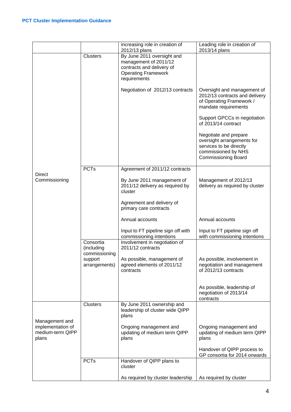|                                                |                                          | increasing role in creation of<br>2012/13 plans                                                                                | Leading role in creation of<br>2013/14 plans                                                                                        |
|------------------------------------------------|------------------------------------------|--------------------------------------------------------------------------------------------------------------------------------|-------------------------------------------------------------------------------------------------------------------------------------|
|                                                | <b>Clusters</b>                          | By June 2011 oversight and<br>management of 2011/12<br>contracts and delivery of<br><b>Operating Framework</b><br>requirements |                                                                                                                                     |
|                                                |                                          | Negotiation of 2012/13 contracts                                                                                               | Oversight and management of<br>2012/13 contracts and delivery<br>of Operating Framework /<br>mandate requirements                   |
|                                                |                                          |                                                                                                                                | Support GPCCs in negotiation<br>of 2013/14 contract                                                                                 |
|                                                |                                          |                                                                                                                                | Negotiate and prepare<br>oversight arrangements for<br>services to be directly<br>commissioned by NHS<br><b>Commissioning Board</b> |
|                                                | <b>PCTs</b>                              | Agreement of 2011/12 contracts                                                                                                 |                                                                                                                                     |
| <b>Direct</b><br>Commissioning                 |                                          | By June 2011 management of<br>2011/12 delivery as required by<br>cluster                                                       | Management of 2012/13<br>delivery as required by cluster                                                                            |
|                                                |                                          | Agreement and delivery of<br>primary care contracts                                                                            |                                                                                                                                     |
|                                                |                                          | Annual accounts                                                                                                                | Annual accounts                                                                                                                     |
|                                                |                                          | Input to FT pipeline sign off with<br>commissioning intentions                                                                 | Input to FT pipeline sign off<br>with commissioning intentions                                                                      |
|                                                | Consortia<br>(including<br>commissioning | Involvement in negotiation of<br>2011/12 contracts                                                                             |                                                                                                                                     |
|                                                | support<br>arrangements)                 | As possible, management of<br>agreed elements of 2011/12<br>contracts                                                          | As possible, involvement in<br>negotiation and management<br>of 2012/13 contracts                                                   |
|                                                |                                          |                                                                                                                                | As possible, leadership of<br>negotiation of 2013/14<br>contracts                                                                   |
| Management and                                 | <b>Clusters</b>                          | By June 2011 ownership and<br>leadership of cluster wide QIPP<br>plans                                                         |                                                                                                                                     |
| implementation of<br>medium-term QIPP<br>plans |                                          | Ongoing management and<br>updating of medium term QIPP<br>plans                                                                | Ongoing management and<br>updating of medium term QIPP<br>plans                                                                     |
|                                                |                                          |                                                                                                                                | Handover of QIPP process to<br>GP consortia for 2014 onwards                                                                        |
|                                                | <b>PCTs</b>                              | Handover of QIPP plans to<br>cluster                                                                                           |                                                                                                                                     |
|                                                |                                          | As required by cluster leadership                                                                                              | As required by cluster                                                                                                              |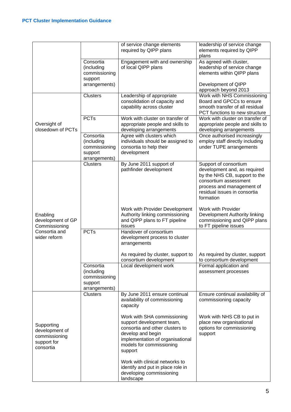|                                                                                 |                                                                      | of service change elements<br>required by QIPP plans                                                                                                                                        | leadership of service change<br>elements required by QIPP<br>plans                                                                                                                        |
|---------------------------------------------------------------------------------|----------------------------------------------------------------------|---------------------------------------------------------------------------------------------------------------------------------------------------------------------------------------------|-------------------------------------------------------------------------------------------------------------------------------------------------------------------------------------------|
|                                                                                 | Consortia<br>(including<br>commissioning<br>support                  | Engagement with and ownership<br>of local QIPP plans                                                                                                                                        | As agreed with cluster,<br>leadership of service change<br>elements within QIPP plans                                                                                                     |
|                                                                                 | arrangements)                                                        |                                                                                                                                                                                             | Development of QIPP<br>approach beyond 2013                                                                                                                                               |
| Oversight of<br>closedown of PCTs                                               | <b>Clusters</b>                                                      | Leadership of appropriate<br>consolidation of capacity and<br>capability across cluster                                                                                                     | Work with NHS Commissioning<br>Board and GPCCs to ensure<br>smooth transfer of all residual<br>PCT functions to new structure                                                             |
|                                                                                 | <b>PCTs</b>                                                          | Work with cluster on transfer of<br>appropriate people and skills to<br>developing arrangements                                                                                             | Work with cluster on transfer of<br>appropriate people and skills to<br>developing arrangements                                                                                           |
|                                                                                 | Consortia<br>(including<br>commissioning<br>support<br>arrangements) | Agree with clusters which<br>individuals should be assigned to<br>consortia to help their<br>development                                                                                    | Once authorised increasingly<br>employ staff directly including<br>under TUPE arrangements                                                                                                |
|                                                                                 | <b>Clusters</b>                                                      | By June 2011 support of<br>pathfinder development                                                                                                                                           | Support of consortium<br>development and, as required<br>by the NHS CB, support to the<br>consortium assessment<br>process and management of<br>residual issues in consortia<br>formation |
| Enabling<br>development of GP<br>Commissioning<br>Consortia and<br>wider reform |                                                                      | Work with Provider Development<br>Authority linking commissioning<br>and QIPP plans to FT pipeline<br>issues                                                                                | Work with Provider<br>Development Authority linking<br>commissioning and QIPP plans<br>to FT pipeline issues                                                                              |
|                                                                                 | <b>PCTs</b>                                                          | Handover of consortium<br>development process to cluster<br>arrangements                                                                                                                    |                                                                                                                                                                                           |
|                                                                                 |                                                                      | As required by cluster, support to<br>consortium development                                                                                                                                | As required by cluster, support<br>to consortium development                                                                                                                              |
|                                                                                 | Consortia<br>(including<br>commissioning<br>support<br>arrangements) | Local development work                                                                                                                                                                      | Formal application and<br>assessment processes                                                                                                                                            |
| Supporting<br>development of<br>commissioning<br>support for<br>consortia       | <b>Clusters</b>                                                      | By June 2011 ensure continual<br>availability of commissioning<br>capacity                                                                                                                  | Ensure continual availability of<br>commissioning capacity                                                                                                                                |
|                                                                                 |                                                                      | Work with SHA commissioning<br>support development team,<br>consortia and other clusters to<br>develop and begin<br>implementation of organisational<br>models for commissioning<br>support | Work with NHS CB to put in<br>place new organisational<br>options for commissioning<br>support                                                                                            |
|                                                                                 |                                                                      | Work with clinical networks to<br>identify and put in place role in<br>developing commissioning<br>landscape                                                                                |                                                                                                                                                                                           |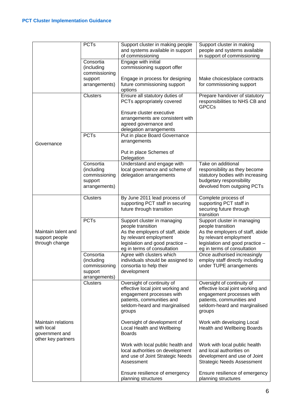|                                                                          | <b>PCTs</b>                                                          | Support cluster in making people<br>and systems available in support<br>of commissioning                                                                                         | Support cluster in making<br>people and systems available<br>in support of commissioning                                                                                         |
|--------------------------------------------------------------------------|----------------------------------------------------------------------|----------------------------------------------------------------------------------------------------------------------------------------------------------------------------------|----------------------------------------------------------------------------------------------------------------------------------------------------------------------------------|
|                                                                          | Consortia<br>(including<br>commissioning                             | Engage with initial<br>commissioning support offer                                                                                                                               |                                                                                                                                                                                  |
|                                                                          | support<br>arrangements)                                             | Engage in process for designing<br>future commissioning support<br>options                                                                                                       | Make choices/place contracts<br>for commissioning support                                                                                                                        |
|                                                                          | <b>Clusters</b>                                                      | Ensure all statutory duties of<br>PCTs appropriately covered                                                                                                                     | Prepare handover of statutory<br>responsibilities to NHS CB and<br><b>GPCCs</b>                                                                                                  |
|                                                                          |                                                                      | Ensure cluster executive<br>arrangements are consistent with<br>agreed governance and<br>delegation arrangements                                                                 |                                                                                                                                                                                  |
| Governance                                                               | <b>PCTs</b>                                                          | Put in place Board Governance<br>arrangements                                                                                                                                    |                                                                                                                                                                                  |
|                                                                          |                                                                      | Put in place Schemes of<br>Delegation                                                                                                                                            |                                                                                                                                                                                  |
|                                                                          | Consortia<br>(including<br>commissioning<br>support<br>arrangements) | Understand and engage with<br>local governance and scheme of<br>delegation arrangements                                                                                          | Take on additional<br>responsibility as they become<br>statutory bodies with increasing<br>budgetary responsibility<br>devolved from outgoing PCTs                               |
| Maintain talent and<br>support people<br>through change                  | <b>Clusters</b>                                                      | By June 2011 lead process of<br>supporting PCT staff in securing<br>future through transition                                                                                    | Complete process of<br>supporting PCT staff in<br>securing future through<br>transition                                                                                          |
|                                                                          | <b>PCTs</b>                                                          | Support cluster in managing<br>people transition<br>As the employers of staff, abide<br>by relevant employment<br>legislation and good practice -<br>eg in terms of consultation | Support cluster in managing<br>people transition<br>As the employers of staff, abide<br>by relevant employment<br>legislation and good practice -<br>eg in terms of consultation |
|                                                                          | Consortia<br>(including<br>commissioning<br>support<br>arrangements) | Agree with clusters which<br>individuals should be assigned to<br>consortia to help their<br>development                                                                         | Once authorised increasingly<br>employ staff directly including<br>under TUPE arrangements                                                                                       |
|                                                                          | <b>Clusters</b>                                                      | Oversight of continuity of<br>effective local joint working and<br>engagement processes with<br>patients, communities and<br>seldom-heard and marginalised<br>groups             | Oversight of continuity of<br>effective local joint working and<br>engagement processes with<br>patients, communities and<br>seldom-heard and marginalised<br>groups             |
| Maintain relations<br>with local<br>government and<br>other key partners |                                                                      | Oversight of development of<br>Local Health and Wellbeing<br><b>Boards</b>                                                                                                       | Work with developing Local<br>Health and Wellbeing Boards                                                                                                                        |
|                                                                          |                                                                      | Work with local public health and<br>local authorities on development<br>and use of Joint Strategic Needs<br>Assessment                                                          | Work with local public health<br>and local authorities on<br>development and use of Joint<br><b>Strategic Needs Assessment</b>                                                   |
|                                                                          |                                                                      | Ensure resilience of emergency<br>planning structures                                                                                                                            | Ensure resilience of emergency<br>planning structures                                                                                                                            |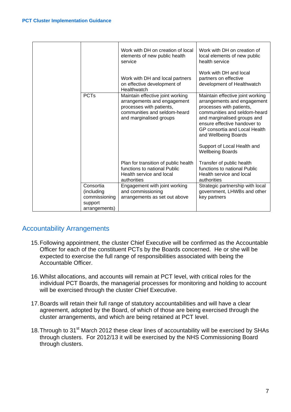|                                                                      | Work with DH on creation of local<br>elements of new public health<br>service                                                                          | Work with DH on creation of<br>local elements of new public<br>health service<br>Work with DH and local                                                                                                                                                                                                       |
|----------------------------------------------------------------------|--------------------------------------------------------------------------------------------------------------------------------------------------------|---------------------------------------------------------------------------------------------------------------------------------------------------------------------------------------------------------------------------------------------------------------------------------------------------------------|
|                                                                      | Work with DH and local partners<br>on effective development of<br>Healthwatch                                                                          | partners on effective<br>development of Healthwatch                                                                                                                                                                                                                                                           |
| <b>PCTs</b>                                                          | Maintain effective joint working<br>arrangements and engagement<br>processes with patients,<br>communities and seldom-heard<br>and marginalised groups | Maintain effective joint working<br>arrangements and engagement<br>processes with patients,<br>communities and seldom-heard<br>and marginalised groups and<br>ensure effective handover to<br>GP consortia and Local Health<br>and Wellbeing Boards<br>Support of Local Health and<br><b>Wellbeing Boards</b> |
|                                                                      | Plan for transition of public health<br>functions to national Public<br>Health service and local<br>authorities                                        | Transfer of public health<br>functions to national Public<br>Health service and local<br>authorities                                                                                                                                                                                                          |
| Consortia<br>(including<br>commissioning<br>support<br>arrangements) | Engagement with joint working<br>and commissioning<br>arrangements as set out above                                                                    | Strategic partnership with local<br>government, LHWBs and other<br>key partners                                                                                                                                                                                                                               |

# Accountability Arrangements

- 15. Following appointment, the cluster Chief Executive will be confirmed as the Accountable Officer for each of the constituent PCTs by the Boards concerned. He or she will be expected to exercise the full range of responsibilities associated with being the Accountable Officer.
- 16. Whilst allocations, and accounts will remain at PCT level, with critical roles for the individual PCT Boards, the managerial processes for monitoring and holding to account will be exercised through the cluster Chief Executive.
- 17. Boards will retain their full range of statutory accountabilities and will have a clear agreement, adopted by the Board, of which of those are being exercised through the cluster arrangements, and which are being retained at PCT level.
- 18. Through to 31<sup>st</sup> March 2012 these clear lines of accountability will be exercised by SHAs through clusters. For 2012/13 it will be exercised by the NHS Commissioning Board through clusters.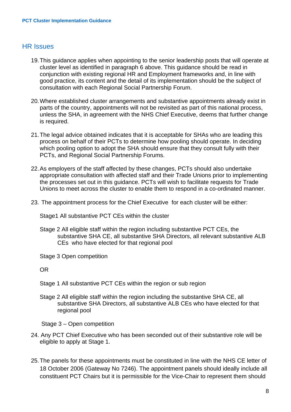#### HR Issues

- 19. This guidance applies when appointing to the senior leadership posts that will operate at cluster level as identified in paragraph 6 above. This guidance should be read in conjunction with existing regional HR and Employment frameworks and, in line with good practice, its content and the detail of its implementation should be the subject of consultation with each Regional Social Partnership Forum.
- 20. Where established cluster arrangements and substantive appointments already exist in parts of the country, appointments will not be revisited as part of this national process, unless the SHA, in agreement with the NHS Chief Executive, deems that further change is required.
- 21. The legal advice obtained indicates that it is acceptable for SHAs who are leading this process on behalf of their PCTs to determine how pooling should operate. In deciding which pooling option to adopt the SHA should ensure that they consult fully with their PCTs, and Regional Social Partnership Forums.
- 22. As employers of the staff affected by these changes, PCTs should also undertake appropriate consultation with affected staff and their Trade Unions prior to implementing the processes set out in this guidance. PCTs will wish to facilitate requests for Trade Unions to meet across the cluster to enable them to respond in a co-ordinated manner.
- 23. The appointment process for the Chief Executive for each cluster will be either:

Stage1 All substantive PCT CEs within the cluster

- Stage 2 All eligible staff within the region including substantive PCT CEs, the substantive SHA CE, all substantive SHA Directors, all relevant substantive ALB CEs who have elected for that regional pool
- Stage 3 Open competition

OR

- Stage 1 All substantive PCT CEs within the region or sub region
- Stage 2 All eligible staff within the region including the substantive SHA CE, all substantive SHA Directors, all substantive ALB CEs who have elected for that regional pool

Stage 3 – Open competition

- 24. Any PCT Chief Executive who has been seconded out of their substantive role will be eligible to apply at Stage 1.
- 25. The panels for these appointments must be constituted in line with the NHS CE letter of 18 October 2006 (Gateway No 7246). The appointment panels should ideally include all constituent PCT Chairs but it is permissible for the Vice-Chair to represent them should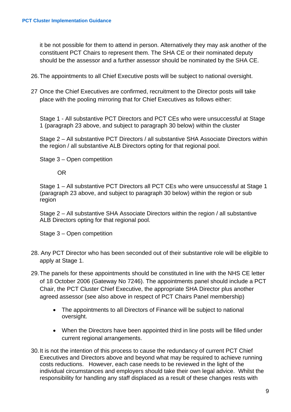it be not possible for them to attend in person. Alternatively they may ask another of the constituent PCT Chairs to represent them. The SHA CE or their nominated deputy should be the assessor and a further assessor should be nominated by the SHA CE.

- 26. The appointments to all Chief Executive posts will be subject to national oversight.
- 27 Once the Chief Executives are confirmed, recruitment to the Director posts will take place with the pooling mirroring that for Chief Executives as follows either:

Stage 1 - All substantive PCT Directors and PCT CEs who were unsuccessful at Stage 1 (paragraph 23 above, and subject to paragraph 30 below) within the cluster

Stage 2 – All substantive PCT Directors / all substantive SHA Associate Directors within the region / all substantive ALB Directors opting for that regional pool.

Stage 3 – Open competition

OR

Stage 1 – All substantive PCT Directors all PCT CEs who were unsuccessful at Stage 1 (paragraph 23 above, and subject to paragraph 30 below) within the region or sub region

Stage 2 – All substantive SHA Associate Directors within the region / all substantive ALB Directors opting for that regional pool.

Stage 3 – Open competition

- 28. Any PCT Director who has been seconded out of their substantive role will be eligible to apply at Stage 1.
- 29. The panels for these appointments should be constituted in line with the NHS CE letter of 18 October 2006 (Gateway No 7246). The appointments panel should include a PCT Chair, the PCT Cluster Chief Executive, the appropriate SHA Director plus another agreed assessor (see also above in respect of PCT Chairs Panel membership)
	- The appointments to all Directors of Finance will be subject to national oversight.
	- When the Directors have been appointed third in line posts will be filled under current regional arrangements.
- 30. It is not the intention of this process to cause the redundancy of current PCT Chief Executives and Directors above and beyond what may be required to achieve running costs reductions. However, each case needs to be reviewed in the light of the individual circumstances and employers should take their own legal advice. Whilst the responsibility for handling any staff displaced as a result of these changes rests with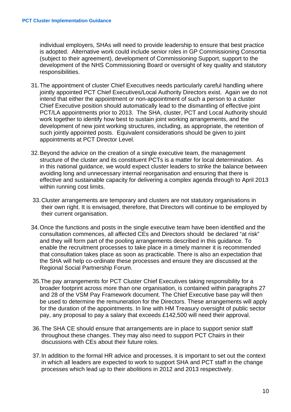individual employers, SHAs will need to provide leadership to ensure that best practice is adopted. Alternative work could include senior roles in GP Commissioning Consortia (subject to their agreement), development of Commissioning Support, support to the development of the NHS Commissioning Board or oversight of key quality and statutory responsibilities.

- 31. The appointment of cluster Chief Executives needs particularly careful handling where jointly appointed PCT Chief Executives/Local Authority Directors exist. Again we do not intend that either the appointment or non-appointment of such a person to a cluster Chief Executive position should automatically lead to the dismantling of effective joint PCT/LA appointments prior to 2013. The SHA, cluster, PCT and Local Authority should work together to identify how best to sustain joint working arrangements, and the development of new joint working structures, including, as appropriate, the retention of such jointly appointed posts. Equivalent considerations should be given to joint appointments at PCT Director Level.
- 32. Beyond the advice on the creation of a single executive team, the management structure of the cluster and its constituent PCTs is a matter for local determination. As in this national guidance, we would expect cluster leaders to strike the balance between avoiding long and unnecessary internal reorganisation and ensuring that there is effective and sustainable capacity for delivering a complex agenda through to April 2013 within running cost limits.
- 33. Cluster arrangements are temporary and clusters are not statutory organisations in their own right. It is envisaged, therefore, that Directors will continue to be employed by their current organisation.
- 34. Once the functions and posts in the single executive team have been identified and the consultation commences, all affected CEs and Directors should be declared "at risk" and they will form part of the pooling arrangements described in this guidance. To enable the recruitment processes to take place in a timely manner it is recommended that consultation takes place as soon as practicable. There is also an expectation that the SHA will help co-ordinate these processes and ensure they are discussed at the Regional Social Partnership Forum.
- 35.The pay arrangements for PCT Cluster Chief Executives taking responsibility for a broader footprint across more than one organisation, is contained within paragraphs 27 and 28 of the VSM Pay Framework document. The Chief Executive base pay will then be used to determine the remuneration for the Directors. These arrangements will apply for the duration of the appointments. In line with HM Treasury oversight of public sector pay, any proposal to pay a salary that exceeds £142,500 will need their approval.
- 36. The SHA CE should ensure that arrangements are in place to support senior staff throughout these changes. They may also need to support PCT Chairs in their discussions with CEs about their future roles.
- 37. In addition to the formal HR advice and processes, it is important to set out the context in which all leaders are expected to work to support SHA and PCT staff in the change processes which lead up to their abolitions in 2012 and 2013 respectively.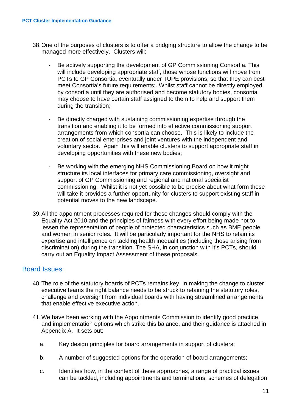- 38. One of the purposes of clusters is to offer a bridging structure to allow the change to be managed more effectively. Clusters will:
	- Be actively supporting the development of GP Commissioning Consortia. This will include developing appropriate staff, those whose functions will move from PCTs to GP Consortia, eventually under TUPE provisions, so that they can best meet Consortia's future requirements;. Whilst staff cannot be directly employed by consortia until they are authorised and become statutory bodies, consortia may choose to have certain staff assigned to them to help and support them during the transition;
	- Be directly charged with sustaining commissioning expertise through the transition and enabling it to be formed into effective commissioning support arrangements from which consortia can choose. This is likely to include the creation of social enterprises and joint ventures with the independent and voluntary sector. Again this will enable clusters to support appropriate staff in developing opportunities with these new bodies;
	- Be working with the emerging NHS Commissioning Board on how it might structure its local interfaces for primary care commissioning, oversight and support of GP Commissioning and regional and national specialist commissioning. Whilst it is not yet possible to be precise about what form these will take it provides a further opportunity for clusters to support existing staff in potential moves to the new landscape.
- 39. All the appointment processes required for these changes should comply with the Equality Act 2010 and the principles of fairness with every effort being made not to lessen the representation of people of protected characteristics such as BME people and women in senior roles. It will be particularly important for the NHS to retain its expertise and intelligence on tackling health inequalities (including those arising from discrimination) during the transition. The SHA, in conjunction with it's PCTs, should carry out an Equality Impact Assessment of these proposals.

### Board Issues

- 40. The role of the statutory boards of PCTs remains key. In making the change to cluster executive teams the right balance needs to be struck to retaining the statutory roles, challenge and oversight from individual boards with having streamlined arrangements that enable effective executive action.
- 41. We have been working with the Appointments Commission to identify good practice and implementation options which strike this balance, and their guidance is attached in Appendix A. It sets out:
	- a. Key design principles for board arrangements in support of clusters;
	- b. A number of suggested options for the operation of board arrangements:
	- c. Identifies how, in the context of these approaches, a range of practical issues can be tackled, including appointments and terminations, schemes of delegation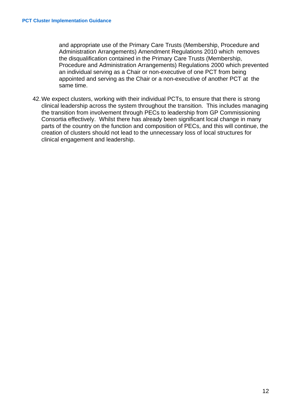and appropriate use of the Primary Care Trusts (Membership, Procedure and Administration Arrangements) Amendment Regulations 2010 which removes the disqualification contained in the Primary Care Trusts (Membership, Procedure and Administration Arrangements) Regulations 2000 which prevented an individual serving as a Chair or non-executive of one PCT from being appointed and serving as the Chair or a non-executive of another PCT at the same time.

42. We expect clusters, working with their individual PCTs, to ensure that there is strong clinical leadership across the system throughout the transition. This includes managing the transition from involvement through PECs to leadership from GP Commissioning Consortia effectively. Whilst there has already been significant local change in many parts of the country on the function and composition of PECs, and this will continue, the creation of clusters should not lead to the unnecessary loss of local structures for clinical engagement and leadership.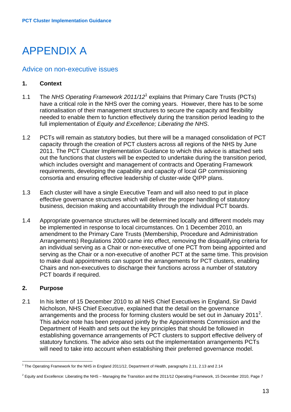# APPENDIX A

#### Advice on non-executive issues

#### **1. Context**

- [1](#page-16-0).1 The *NHS Operating Framework 2011/12<sup>1</sup>* explains that Primary Care Trusts (PCTs) have a critical role in the NHS over the coming years. However, there has to be some rationalisation of their management structures to secure the capacity and flexibility needed to enable them to function effectively during the transition period leading to the full implementation of *Equity and Excellence; Liberating the NHS*.
- 1.2 PCTs will remain as statutory bodies, but there will be a managed consolidation of PCT capacity through the creation of PCT clusters across all regions of the NHS by June 2011. The PCT Cluster Implementation Guidance to which this advice is attached sets out the functions that clusters will be expected to undertake during the transition period, which includes oversight and management of contracts and Operating Framework requirements, developing the capability and capacity of local GP commissioning consortia and ensuring effective leadership of cluster-wide QIPP plans.
- 1.3 Each cluster will have a single Executive Team and will also need to put in place effective governance structures which will deliver the proper handling of statutory business, decision making and accountability through the individual PCT boards.
- 1.4 Appropriate governance structures will be determined locally and different models may be implemented in response to local circumstances. On 1 December 2010, an amendment to the Primary Care Trusts (Membership, Procedure and Administration Arrangements) Regulations 2000 came into effect, removing the disqualifying criteria for an individual serving as a Chair or non-executive of one PCT from being appointed and serving as the Chair or a non-executive of another PCT at the same time. This provision to make dual appointments can support the arrangements for PCT clusters, enabling Chairs and non-executives to discharge their functions across a number of statutory PCT boards if required.

#### **2. Purpose**

2.1 In his letter of 15 December 2010 to all NHS Chief Executives in England, Sir David Nicholson, NHS Chief Executive, explained that the detail on the governance arrangements and the process for forming clusters would be set out in January [2](#page-16-1)011<sup>2</sup>. This advice note has been prepared jointly by the Appointments Commission and the Department of Health and sets out the key principles that should be followed in establishing governance arrangements of PCT clusters to support effective delivery of statutory functions. The advice also sets out the implementation arrangements PCTs will need to take into account when establishing their preferred governance model.

<span id="page-16-0"></span> <sup>1</sup> The Operating Framework for the NHS in England 2011/12, Department of Health, paragraphs 2.11, 2.13 and 2.14

<span id="page-16-1"></span> $^2$  Equity and Excellence: Liberating the NHS – Managing the Transition and the 2011/12 Operating Framework, 15 December 2010, Page 7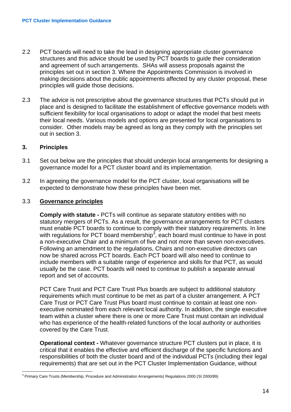- 2.2 PCT boards will need to take the lead in designing appropriate cluster governance structures and this advice should be used by PCT boards to guide their consideration and agreement of such arrangements. SHAs will assess proposals against the principles set out in section 3. Where the Appointments Commission is involved in making decisions about the public appointments affected by any cluster proposal, these principles will guide those decisions.
- 2.3 The advice is not prescriptive about the governance structures that PCTs should put in place and is designed to facilitate the establishment of effective governance models with sufficient flexibility for local organisations to adopt or adapt the model that best meets their local needs. Various models and options are presented for local organisations to consider. Other models may be agreed as long as they comply with the principles set out in section 3.

#### **3. Principles**

- 3.1 Set out below are the principles that should underpin local arrangements for designing a governance model for a PCT cluster board and its implementation.
- 3.2 In agreeing the governance model for the PCT cluster, local organisations will be expected to demonstrate how these principles have been met.

#### 3.3 **Governance principles**

**Comply with statute -** PCTs will continue as separate statutory entities with no statutory mergers of PCTs. As a result, the governance arrangements for PCT clusters must enable PCT boards to continue to comply with their statutory requirements. In line with regulations for PCT board membership<sup>[3](#page-17-0)</sup>, each board must continue to have in post a non-executive Chair and a minimum of five and not more than seven non-executives. Following an amendment to the regulations, Chairs and non-executive directors can now be shared across PCT boards. Each PCT board will also need to continue to include members with a suitable range of experience and skills for that PCT, as would usually be the case. PCT boards will need to continue to publish a separate annual report and set of accounts.

PCT Care Trust and PCT Care Trust Plus boards are subject to additional statutory requirements which must continue to be met as part of a cluster arrangement. A PCT Care Trust or PCT Care Trust Plus board must continue to contain at least one nonexecutive nominated from each relevant local authority. In addition, the single executive team within a cluster where there is one or more Care Trust must contain an individual who has experience of the health-related functions of the local authority or authorities covered by the Care Trust.

**Operational context -** Whatever governance structure PCT clusters put in place, it is critical that it enables the effective and efficient discharge of the specific functions and responsibilities of both the cluster board and of the individual PCTs (including their legal requirements) that are set out in the PCT Cluster Implementation Guidance, without

<span id="page-17-0"></span> <sup>3</sup> Primary Care Trusts (Membership, Procedure and Administration Arrangements) Regulations 2000 (SI 2000/89)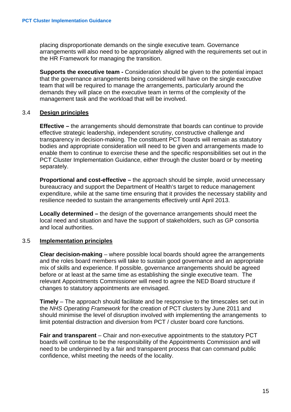placing disproportionate demands on the single executive team. Governance arrangements will also need to be appropriately aligned with the requirements set out in the HR Framework for managing the transition.

**Supports the executive team -** Consideration should be given to the potential impact that the governance arrangements being considered will have on the single executive team that will be required to manage the arrangements, particularly around the demands they will place on the executive team in terms of the complexity of the management task and the workload that will be involved.

#### 3.4 **Design principles**

**Effective** – the arrangements should demonstrate that boards can continue to provide effective strategic leadership, independent scrutiny, constructive challenge and transparency in decision-making. The constituent PCT boards will remain as statutory bodies and appropriate consideration will need to be given and arrangements made to enable them to continue to exercise these and the specific responsibilities set out in the PCT Cluster Implementation Guidance, either through the cluster board or by meeting separately.

**Proportional and cost-effective –** the approach should be simple, avoid unnecessary bureaucracy and support the Department of Health's target to reduce management expenditure, while at the same time ensuring that it provides the necessary stability and resilience needed to sustain the arrangements effectively until April 2013.

**Locally determined –** the design of the governance arrangements should meet the local need and situation and have the support of stakeholders, such as GP consortia and local authorities.

#### 3.5 **Implementation principles**

**Clear decision-making** – where possible local boards should agree the arrangements and the roles board members will take to sustain good governance and an appropriate mix of skills and experience. If possible, governance arrangements should be agreed before or at least at the same time as establishing the single executive team. The relevant Appointments Commissioner will need to agree the NED Board structure if changes to statutory appointments are envisaged.

**Timely** – The approach should facilitate and be responsive to the timescales set out in the *NHS Operating Framework* for the creation of PCT clusters by June 2011 and should minimise the level of disruption involved with implementing the arrangements to limit potential distraction and diversion from PCT / cluster board core functions.

**Fair and transparent** – Chair and non-executive appointments to the statutory PCT boards will continue to be the responsibility of the Appointments Commission and will need to be underpinned by a fair and transparent process that can command public confidence, whilst meeting the needs of the locality.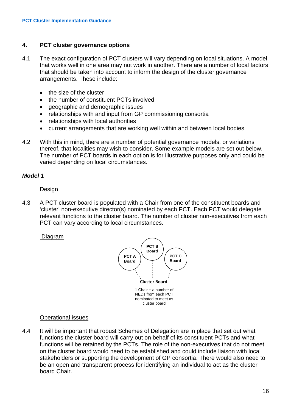#### **4. PCT cluster governance options**

- 4.1 The exact configuration of PCT clusters will vary depending on local situations. A model that works well in one area may not work in another. There are a number of local factors that should be taken into account to inform the design of the cluster governance arrangements. These include:
	- the size of the cluster
	- the number of constituent PCTs involved
	- geographic and demographic issues
	- relationships with and input from GP commissioning consortia
	- relationships with local authorities
	- current arrangements that are working well within and between local bodies
- 4.2 With this in mind, there are a number of potential governance models, or variations thereof, that localities may wish to consider. Some example models are set out below. The number of PCT boards in each option is for illustrative purposes only and could be varied depending on local circumstances.

#### *Model 1*

#### Design

4.3 A PCT cluster board is populated with a Chair from one of the constituent boards and 'cluster' non-executive director(s) nominated by each PCT. Each PCT would delegate relevant functions to the cluster board. The number of cluster non-executives from each PCT can vary according to local circumstances.

#### Diagram



#### Operational issues

4.4 It will be important that robust Schemes of Delegation are in place that set out what functions the cluster board will carry out on behalf of its constituent PCTs and what functions will be retained by the PCTs. The role of the non-executives that do not meet on the cluster board would need to be established and could include liaison with local stakeholders or supporting the development of GP consortia. There would also need to be an open and transparent process for identifying an individual to act as the cluster board Chair.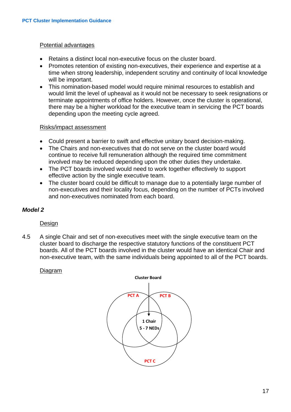#### Potential advantages

- Retains a distinct local non-executive focus on the cluster board.
- Promotes retention of existing non-executives, their experience and expertise at a time when strong leadership, independent scrutiny and continuity of local knowledge will be important.
- This nomination-based model would require minimal resources to establish and would limit the level of upheaval as it would not be necessary to seek resignations or terminate appointments of office holders. However, once the cluster is operational, there may be a higher workload for the executive team in servicing the PCT boards depending upon the meeting cycle agreed.

#### Risks/impact assessment

- Could present a barrier to swift and effective unitary board decision-making.
- The Chairs and non-executives that do not serve on the cluster board would continue to receive full remuneration although the required time commitment involved may be reduced depending upon the other duties they undertake.
- The PCT boards involved would need to work together effectively to support effective action by the single executive team.
- The cluster board could be difficult to manage due to a potentially large number of non-executives and their locality focus, depending on the number of PCTs involved and non-executives nominated from each board.

#### *Model 2*

**Design** 

4.5 A single Chair and set of non-executives meet with the single executive team on the cluster board to discharge the respective statutory functions of the constituent PCT boards. All of the PCT boards involved in the cluster would have an identical Chair and non-executive team, with the same individuals being appointed to all of the PCT boards.

#### Diagram

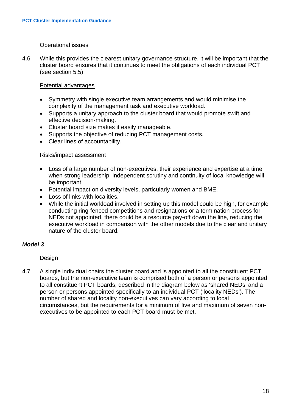#### Operational issues

4.6 While this provides the clearest unitary governance structure, it will be important that the cluster board ensures that it continues to meet the obligations of each individual PCT (see section 5.5).

#### Potential advantages

- Symmetry with single executive team arrangements and would minimise the complexity of the management task and executive workload.
- Supports a unitary approach to the cluster board that would promote swift and effective decision-making.
- Cluster board size makes it easily manageable.
- Supports the objective of reducing PCT management costs.
- Clear lines of accountability.

#### Risks/impact assessment

- Loss of a large number of non-executives, their experience and expertise at a time when strong leadership, independent scrutiny and continuity of local knowledge will be important.
- Potential impact on diversity levels, particularly women and BME.
- Loss of links with localities.
- While the initial workload involved in setting up this model could be high, for example conducting ring-fenced competitions and resignations or a termination process for NEDs not appointed, there could be a resource pay-off down the line, reducing the executive workload in comparison with the other models due to the clear and unitary nature of the cluster board.

#### *Model 3*

#### Design

4.7 A single individual chairs the cluster board and is appointed to all the constituent PCT boards, but the non-executive team is comprised both of a person or persons appointed to all constituent PCT boards, described in the diagram below as 'shared NEDs' and a person or persons appointed specifically to an individual PCT ('locality NEDs'). The number of shared and locality non-executives can vary according to local circumstances, but the requirements for a minimum of five and maximum of seven nonexecutives to be appointed to each PCT board must be met.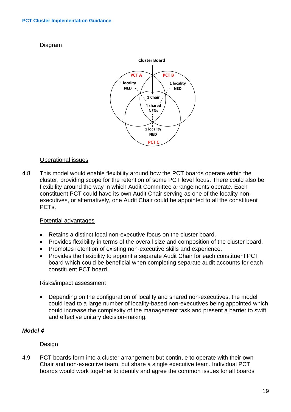#### Diagram



#### Operational issues

4.8 This model would enable flexibility around how the PCT boards operate within the cluster, providing scope for the retention of some PCT level focus. There could also be flexibility around the way in which Audit Committee arrangements operate. Each constituent PCT could have its own Audit Chair serving as one of the locality nonexecutives, or alternatively, one Audit Chair could be appointed to all the constituent PCTs.

#### Potential advantages

- Retains a distinct local non-executive focus on the cluster board.
- Provides flexibility in terms of the overall size and composition of the cluster board.
- Promotes retention of existing non-executive skills and experience.
- Provides the flexibility to appoint a separate Audit Chair for each constituent PCT board which could be beneficial when completing separate audit accounts for each constituent PCT board.

#### Risks/impact assessment

• Depending on the configuration of locality and shared non-executives, the model could lead to a large number of locality-based non-executives being appointed which could increase the complexity of the management task and present a barrier to swift and effective unitary decision-making.

#### *Model 4*

#### Design

4.9 PCT boards form into a cluster arrangement but continue to operate with their own Chair and non-executive team, but share a single executive team. Individual PCT boards would work together to identify and agree the common issues for all boards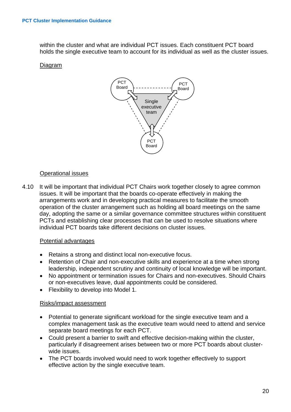within the cluster and what are individual PCT issues. Each constituent PCT board holds the single executive team to account for its individual as well as the cluster issues.

#### Diagram



#### Operational issues

4.10 It will be important that individual PCT Chairs work together closely to agree common issues. It will be important that the boards co-operate effectively in making the arrangements work and in developing practical measures to facilitate the smooth operation of the cluster arrangement such as holding all board meetings on the same day, adopting the same or a similar governance committee structures within constituent PCTs and establishing clear processes that can be used to resolve situations where individual PCT boards take different decisions on cluster issues.

#### Potential advantages

- Retains a strong and distinct local non-executive focus.
- Retention of Chair and non-executive skills and experience at a time when strong leadership, independent scrutiny and continuity of local knowledge will be important.
- No appointment or termination issues for Chairs and non-executives. Should Chairs or non-executives leave, dual appointments could be considered.
- Flexibility to develop into Model 1.

#### Risks/impact assessment

- Potential to generate significant workload for the single executive team and a complex management task as the executive team would need to attend and service separate board meetings for each PCT.
- Could present a barrier to swift and effective decision-making within the cluster, particularly if disagreement arises between two or more PCT boards about clusterwide issues.
- The PCT boards involved would need to work together effectively to support effective action by the single executive team.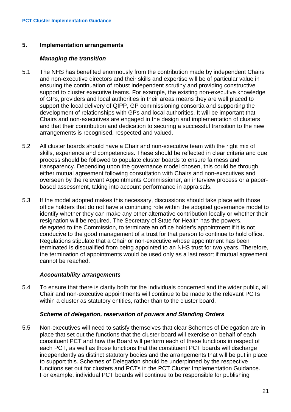#### **5. Implementation arrangements**

#### *Managing the transition*

- 5.1 The NHS has benefited enormously from the contribution made by independent Chairs and non-executive directors and their skills and expertise will be of particular value in ensuring the continuation of robust independent scrutiny and providing constructive support to cluster executive teams. For example, the existing non-executive knowledge of GPs, providers and local authorities in their areas means they are well placed to support the local delivery of QIPP, GP commissioning consortia and supporting the development of relationships with GPs and local authorities. It will be important that Chairs and non-executives are engaged in the design and implementation of clusters and that their contribution and dedication to securing a successful transition to the new arrangements is recognised, respected and valued.
- 5.2 All cluster boards should have a Chair and non-executive team with the right mix of skills, experience and competencies. These should be reflected in clear criteria and due process should be followed to populate cluster boards to ensure fairness and transparency. Depending upon the governance model chosen, this could be through either mutual agreement following consultation with Chairs and non-executives and overseen by the relevant Appointments Commissioner, an interview process or a paperbased assessment, taking into account performance in appraisals.
- 5.3 If the model adopted makes this necessary, discussions should take place with those office holders that do not have a continuing role within the adopted governance model to identify whether they can make any other alternative contribution locally or whether their resignation will be required. The Secretary of State for Health has the powers, delegated to the Commission, to terminate an office holder's appointment if it is not conducive to the good management of a trust for that person to continue to hold office. Regulations stipulate that a Chair or non-executive whose appointment has been terminated is disqualified from being appointed to an NHS trust for two years. Therefore, the termination of appointments would be used only as a last resort if mutual agreement cannot be reached.

#### *Accountability arrangements*

5.4 To ensure that there is clarity both for the individuals concerned and the wider public, all Chair and non-executive appointments will continue to be made to the relevant PCTs within a cluster as statutory entities, rather than to the cluster board.

#### *Scheme of delegation, reservation of powers and Standing Orders*

5.5 Non-executives will need to satisfy themselves that clear Schemes of Delegation are in place that set out the functions that the cluster board will exercise on behalf of each constituent PCT and how the Board will perform each of these functions in respect of each PCT, as well as those functions that the constituent PCT boards will discharge independently as distinct statutory bodies and the arrangements that will be put in place to support this. Schemes of Delegation should be underpinned by the respective functions set out for clusters and PCTs in the PCT Cluster Implementation Guidance. For example, individual PCT boards will continue to be responsible for publishing